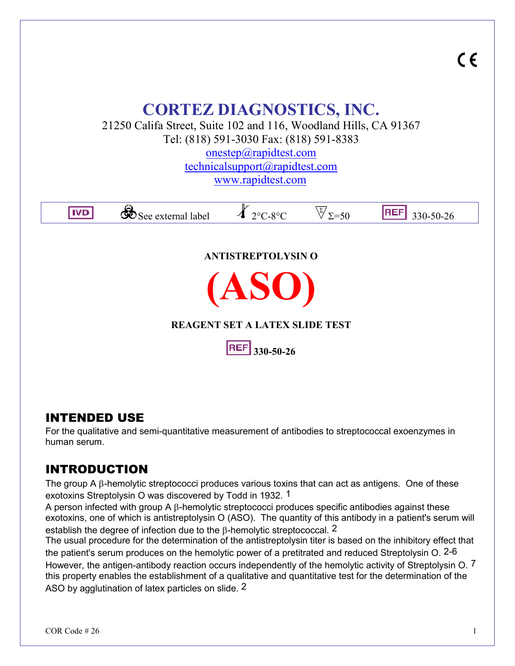

## INTENDED USE

For the qualitative and semi-quantitative measurement of antibodies to streptococcal exoenzymes in human serum.

# INTRODUCTION

The group A  $\beta$ -hemolytic streptococci produces various toxins that can act as antigens. One of these exotoxins Streptolysin O was discovered by Todd in 1932. 1

A person infected with group A  $\beta$ -hemolytic streptococci produces specific antibodies against these exotoxins, one of which is antistreptolysin O (ASO). The quantity of this antibody in a patient's serum will establish the degree of infection due to the  $\beta$ -hemolytic streptococcal. 2

The usual procedure for the determination of the antistreptolysin titer is based on the inhibitory effect that the patient's serum produces on the hemolytic power of a pretitrated and reduced Streptolysin O. 2-6 However, the antigen-antibody reaction occurs independently of the hemolytic activity of Streptolysin O. 7 this property enables the establishment of a qualitative and quantitative test for the determination of the ASO by agglutination of latex particles on slide. 2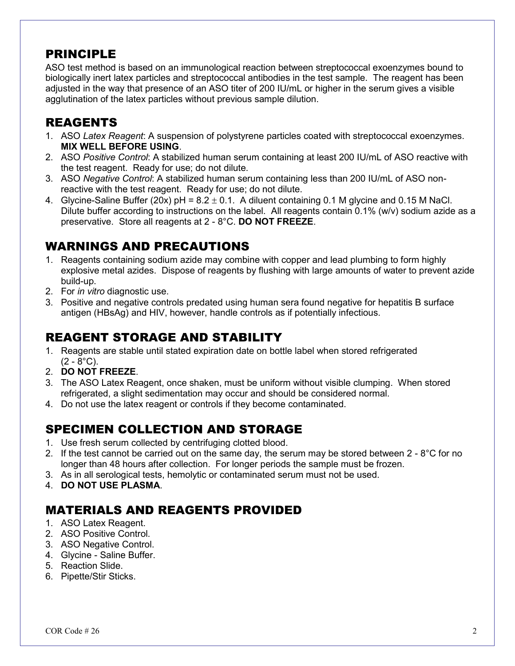## PRINCIPLE

ASO test method is based on an immunological reaction between streptococcal exoenzymes bound to biologically inert latex particles and streptococcal antibodies in the test sample. The reagent has been adjusted in the way that presence of an ASO titer of 200 IU/mL or higher in the serum gives a visible agglutination of the latex particles without previous sample dilution.

### REAGENTS

- 1. ASO *Latex Reagent*: A suspension of polystyrene particles coated with streptococcal exoenzymes. **MIX WELL BEFORE USING**.
- 2. ASO *Positive Control*: A stabilized human serum containing at least 200 IU/mL of ASO reactive with the test reagent. Ready for use; do not dilute.
- 3. ASO *Negative Control*: A stabilized human serum containing less than 200 IU/mL of ASO non reactive with the test reagent. Ready for use; do not dilute.
- 4. Glycine-Saline Buffer (20x)  $pH = 8.2 \pm 0.1$ . A diluent containing 0.1 M glycine and 0.15 M NaCl. Dilute buffer according to instructions on the label. All reagents contain 0.1% (w/v) sodium azide as a preservative. Store all reagents at 2 - 8°C. **DO NOT FREEZE**.

## WARNINGS AND PRECAUTIONS

- 1. Reagents containing sodium azide may combine with copper and lead plumbing to form highly explosive metal azides. Dispose of reagents by flushing with large amounts of water to prevent azide build-up.
- 2. For *in vitro* diagnostic use.
- 3. Positive and negative controls predated using human sera found negative for hepatitis B surface antigen (HBsAg) and HIV, however, handle controls as if potentially infectious.

## REAGENT STORAGE AND STABILITY

- 1. Reagents are stable until stated expiration date on bottle label when stored refrigerated  $(2 - 8^{\circ}C)$ .
- 2. **DO NOT FREEZE**.
- 3. The ASO Latex Reagent, once shaken, must be uniform without visible clumping. When stored refrigerated, a slight sedimentation may occur and should be considered normal.
- 4. Do not use the latex reagent or controls if they become contaminated.

## SPECIMEN COLLECTION AND STORAGE

- 1. Use fresh serum collected by centrifuging clotted blood.
- 2. If the test cannot be carried out on the same day, the serum may be stored between  $2 8^{\circ}C$  for no longer than 48 hours after collection. For longer periods the sample must be frozen.
- 3. As in all serological tests, hemolytic or contaminated serum must not be used.
- 4. **DO NOT USE PLASMA**.

# MATERIALS AND REAGENTS PROVIDED

- 1. ASO Latex Reagent.
- 2. ASO Positive Control.
- 3. ASO Negative Control.
- 4. Glycine Saline Buffer.
- 5. Reaction Slide.
- 6. Pipette/Stir Sticks.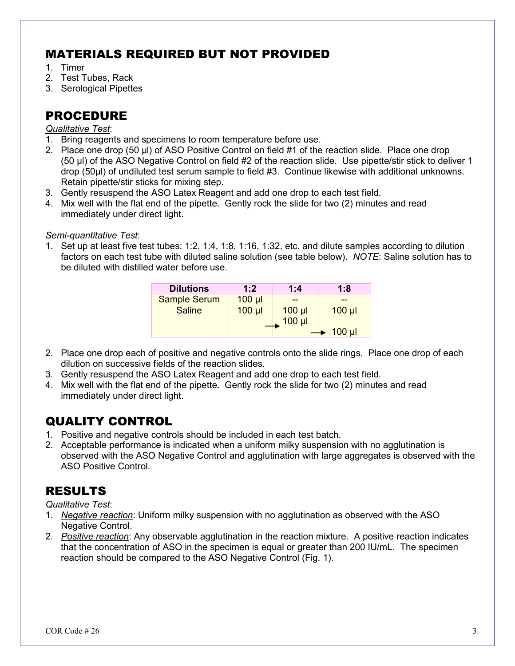# MATERIALS REQUIRED BUT NOT PROVIDED

- 1. Timer
- 2. Test Tubes, Rack
- 3. Serological Pipettes

## PROCEDURE

#### *Qualitative Test*:

- 1. Bring reagents and specimens to room temperature before use.
- 2. Place one drop (50 µl) of ASO Positive Control on field #1 of the reaction slide. Place one drop (50 µl) of the ASO Negative Control on field #2 of the reaction slide. Use pipette/stir stick to deliver 1 drop (50µl) of undiluted test serum sample to field #3. Continue likewise with additional unknowns. Retain pipette/stir sticks for mixing step.
- 3. Gently resuspend the ASO Latex Reagent and add one drop to each test field.
- 4. Mix well with the flat end of the pipette. Gently rock the slide for two (2) minutes and read immediately under direct light.

#### *Semi-quantitative Test*:

1. Set up at least five test tubes: 1:2, 1:4, 1:8, 1:16, 1:32, etc. and dilute samples according to dilution factors on each test tube with diluted saline solution (see table below). *NOTE*: Saline solution has to be diluted with distilled water before use.

| <b>Dilutions</b>    | 1:2         | 1:4         | 1:8         |
|---------------------|-------------|-------------|-------------|
| <b>Sample Serum</b> | $100$ $\mu$ |             |             |
| <b>Saline</b>       | $100$ $\mu$ | $100$ $\mu$ | $100$ $\mu$ |
|                     |             | $100$ $\mu$ |             |
|                     |             |             | $100$ $\mu$ |

- 2. Place one drop each of positive and negative controls onto the slide rings. Place one drop of each dilution on successive fields of the reaction slides.
- 3. Gently resuspend the ASO Latex Reagent and add one drop to each test field.
- 4. Mix well with the flat end of the pipette. Gently rock the slide for two (2) minutes and read immediately under direct light.

## QUALITY CONTROL

- 1. Positive and negative controls should be included in each test batch.
- 2. Acceptable performance is indicated when a uniform milky suspension with no agglutination is observed with the ASO Negative Control and agglutination with large aggregates is observed with the ASO Positive Control.

# RESULTS

#### *Qualitative Test*:

- 1. *Negative reaction*: Uniform milky suspension with no agglutination as observed with the ASO Negative Control.
- 2. *Positive reaction*: Any observable agglutination in the reaction mixture. A positive reaction indicates that the concentration of ASO in the specimen is equal or greater than 200 IU/mL. The specimen reaction should be compared to the ASO Negative Control (Fig. 1).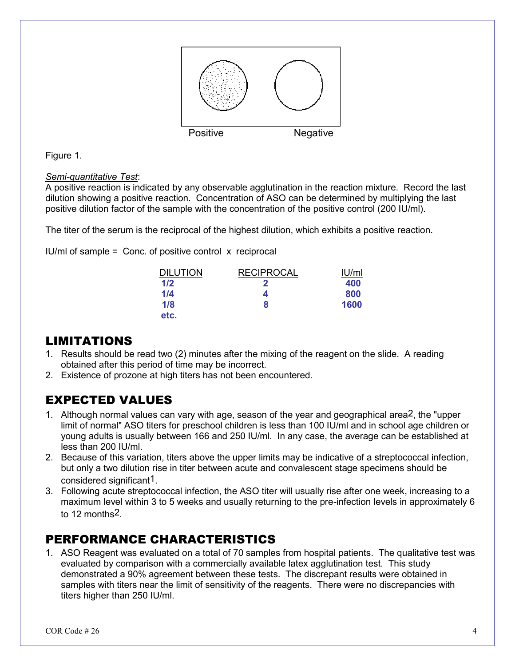

Figure 1.

#### *Semi-quantitative Test*:

A positive reaction is indicated by any observable agglutination in the reaction mixture. Record the last dilution showing a positive reaction. Concentration of ASO can be determined by multiplying the last positive dilution factor of the sample with the concentration of the positive control (200 IU/ml).

The titer of the serum is the reciprocal of the highest dilution, which exhibits a positive reaction.

IU/ml of sample  $=$  Conc. of positive control  $\bar{x}$  reciprocal

| <b>DILUTION</b> | <b>RECIPROCAL</b> | <u>IU/ml</u> |
|-----------------|-------------------|--------------|
| 1/2             | n                 | 400          |
| 1/4             | Д                 | 800          |
| 1/8             | 8                 | 1600         |
| etc.            |                   |              |

## LIMITATIONS

- 1. Results should be read two (2) minutes after the mixing of the reagent on the slide. A reading obtained after this period of time may be incorrect.
- 2. Existence of prozone at high titers has not been encountered.

## EXPECTED VALUES

- 1. Although normal values can vary with age, season of the year and geographical area2, the "upper limit of normal" ASO titers for preschool children is less than 100 IU/ml and in school age children or young adults is usually between 166 and 250 IU/ml. In any case, the average can be established at less than 200 IU/ml.
- 2. Because of this variation, titers above the upper limits may be indicative of a streptococcal infection, but only a two dilution rise in titer between acute and convalescent stage specimens should be considered significant1.
- 3. Following acute streptococcal infection, the ASO titer will usually rise after one week, increasing to a maximum level within 3 to 5 weeks and usually returning to the pre-infection levels in approximately 6 to 12 months<sup>2</sup>

## PERFORMANCE CHARACTERISTICS

1. ASO Reagent was evaluated on a total of 70 samples from hospital patients. The qualitative test was evaluated by comparison with a commercially available latex agglutination test. This study demonstrated a 90% agreement between these tests. The discrepant results were obtained in samples with titers near the limit of sensitivity of the reagents. There were no discrepancies with titers higher than 250 IU/ml.